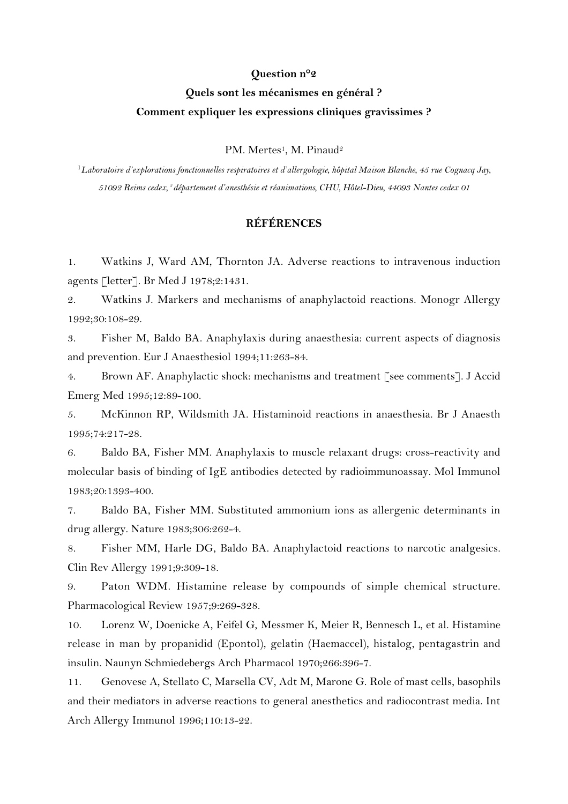## **Question n°2**

## **Quels sont les mécanismes en général ? Comment expliquer les expressions cliniques gravissimes ?**

PM. Mertes<sup>1</sup>, M. Pinaud<sup>2</sup>

<sup>1</sup>*Laboratoire d'explorations fonctionnelles respiratoires et d'allergologie, hôpital Maison Blanche, 45 rue Cognacq Jay, 51092 Reims cedex, 2 département d'anesthésie et réanimations, CHU, Hôtel-Dieu, 44093 Nantes cedex 01*

## **RÉFÉRENCES**

1. Watkins J, Ward AM, Thornton JA. Adverse reactions to intravenous induction agents [letter]. Br Med J 1978;2:1431.

2. Watkins J. Markers and mechanisms of anaphylactoid reactions. Monogr Allergy 1992;30:108-29.

3. Fisher M, Baldo BA. Anaphylaxis during anaesthesia: current aspects of diagnosis and prevention. Eur J Anaesthesiol 1994;11:263-84.

4. Brown AF. Anaphylactic shock: mechanisms and treatment [see comments]. J Accid Emerg Med 1995;12:89-100.

5. McKinnon RP, Wildsmith JA. Histaminoid reactions in anaesthesia. Br J Anaesth 1995;74:217-28.

6. Baldo BA, Fisher MM. Anaphylaxis to muscle relaxant drugs: cross-reactivity and molecular basis of binding of IgE antibodies detected by radioimmunoassay. Mol Immunol 1983;20:1393-400.

7. Baldo BA, Fisher MM. Substituted ammonium ions as allergenic determinants in drug allergy. Nature 1983;306:262-4.

8. Fisher MM, Harle DG, Baldo BA. Anaphylactoid reactions to narcotic analgesics. Clin Rev Allergy 1991;9:309-18.

9. Paton WDM. Histamine release by compounds of simple chemical structure. Pharmacological Review 1957;9:269-328.

10. Lorenz W, Doenicke A, Feifel G, Messmer K, Meier R, Bennesch L, et al. Histamine release in man by propanidid (Epontol), gelatin (Haemaccel), histalog, pentagastrin and insulin. Naunyn Schmiedebergs Arch Pharmacol 1970;266:396-7.

11. Genovese A, Stellato C, Marsella CV, Adt M, Marone G. Role of mast cells, basophils and their mediators in adverse reactions to general anesthetics and radiocontrast media. Int Arch Allergy Immunol 1996;110:13-22.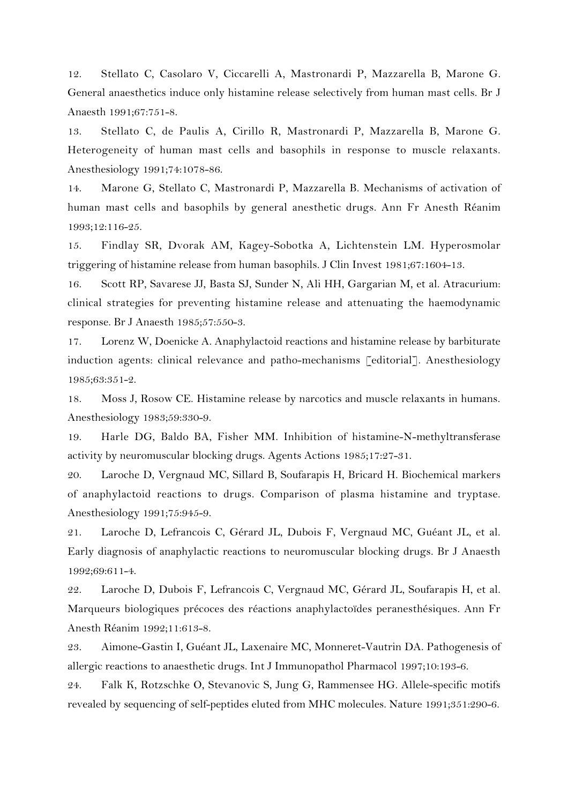12. Stellato C, Casolaro V, Ciccarelli A, Mastronardi P, Mazzarella B, Marone G. General anaesthetics induce only histamine release selectively from human mast cells. Br J Anaesth 1991;67:751-8.

13. Stellato C, de Paulis A, Cirillo R, Mastronardi P, Mazzarella B, Marone G. Heterogeneity of human mast cells and basophils in response to muscle relaxants. Anesthesiology 1991;74:1078-86.

14. Marone G, Stellato C, Mastronardi P, Mazzarella B. Mechanisms of activation of human mast cells and basophils by general anesthetic drugs. Ann Fr Anesth Réanim 1993;12:116-25.

15. Findlay SR, Dvorak AM, Kagey-Sobotka A, Lichtenstein LM. Hyperosmolar triggering of histamine release from human basophils. J Clin Invest 1981;67:1604-13.

16. Scott RP, Savarese JJ, Basta SJ, Sunder N, Ali HH, Gargarian M, et al. Atracurium: clinical strategies for preventing histamine release and attenuating the haemodynamic response. Br J Anaesth 1985;57:550-3.

17. Lorenz W, Doenicke A. Anaphylactoid reactions and histamine release by barbiturate induction agents: clinical relevance and patho-mechanisms [editorial]. Anesthesiology 1985;63:351-2.

18. Moss J, Rosow CE. Histamine release by narcotics and muscle relaxants in humans. Anesthesiology 1983;59:330-9.

19. Harle DG, Baldo BA, Fisher MM. Inhibition of histamine-N-methyltransferase activity by neuromuscular blocking drugs. Agents Actions 1985;17:27-31.

20. Laroche D, Vergnaud MC, Sillard B, Soufarapis H, Bricard H. Biochemical markers of anaphylactoid reactions to drugs. Comparison of plasma histamine and tryptase. Anesthesiology 1991;75:945-9.

21. Laroche D, Lefrancois C, Gérard JL, Dubois F, Vergnaud MC, Guéant JL, et al. Early diagnosis of anaphylactic reactions to neuromuscular blocking drugs. Br J Anaesth 1992;69:611-4.

22. Laroche D, Dubois F, Lefrancois C, Vergnaud MC, Gérard JL, Soufarapis H, et al. Marqueurs biologiques précoces des réactions anaphylactoïdes peranesthésiques. Ann Fr Anesth Réanim 1992;11:613-8.

23. Aimone-Gastin I, Guéant JL, Laxenaire MC, Monneret-Vautrin DA. Pathogenesis of allergic reactions to anaesthetic drugs. Int J Immunopathol Pharmacol 1997;10:193-6.

24. Falk K, Rotzschke O, Stevanovic S, Jung G, Rammensee HG. Allele-specific motifs revealed by sequencing of self-peptides eluted from MHC molecules. Nature 1991;351:290-6.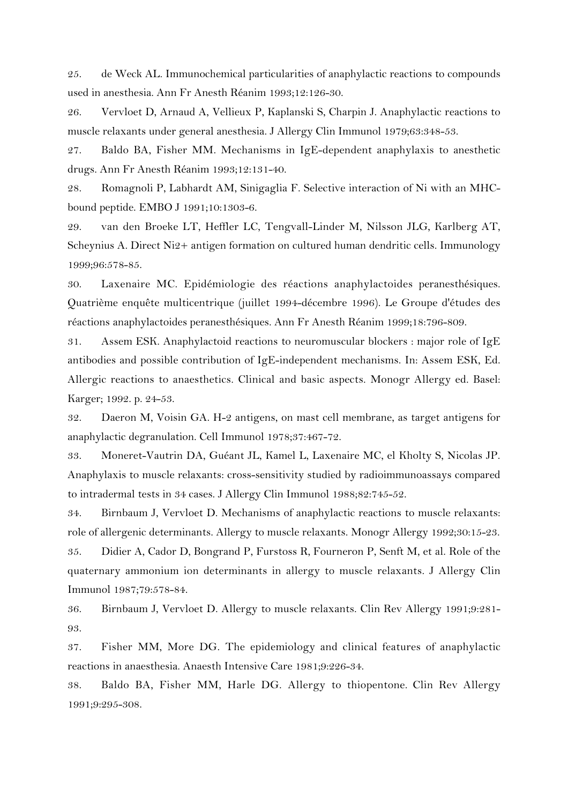25. de Weck AL. Immunochemical particularities of anaphylactic reactions to compounds used in anesthesia. Ann Fr Anesth Réanim 1993;12:126-30.

26. Vervloet D, Arnaud A, Vellieux P, Kaplanski S, Charpin J. Anaphylactic reactions to muscle relaxants under general anesthesia. J Allergy Clin Immunol 1979;63:348-53.

27. Baldo BA, Fisher MM. Mechanisms in IgE-dependent anaphylaxis to anesthetic drugs. Ann Fr Anesth Réanim 1993;12:131-40.

28. Romagnoli P, Labhardt AM, Sinigaglia F. Selective interaction of Ni with an MHCbound peptide. EMBO J 1991;10:1303-6.

29. van den Broeke LT, Heffler LC, Tengvall-Linder M, Nilsson JLG, Karlberg AT, Scheynius A. Direct Ni2+ antigen formation on cultured human dendritic cells. Immunology 1999;96:578-85.

30. Laxenaire MC. Epidémiologie des réactions anaphylactoides peranesthésiques. Quatrième enquête multicentrique (juillet 1994-décembre 1996). Le Groupe d'études des réactions anaphylactoides peranesthésiques. Ann Fr Anesth Réanim 1999;18:796-809.

31. Assem ESK. Anaphylactoid reactions to neuromuscular blockers : major role of IgE antibodies and possible contribution of IgE-independent mechanisms. In: Assem ESK, Ed. Allergic reactions to anaesthetics. Clinical and basic aspects. Monogr Allergy ed. Basel: Karger; 1992. p. 24-53.

32. Daeron M, Voisin GA. H-2 antigens, on mast cell membrane, as target antigens for anaphylactic degranulation. Cell Immunol 1978;37:467-72.

33. Moneret-Vautrin DA, Guéant JL, Kamel L, Laxenaire MC, el Kholty S, Nicolas JP. Anaphylaxis to muscle relaxants: cross-sensitivity studied by radioimmunoassays compared to intradermal tests in 34 cases. J Allergy Clin Immunol 1988;82:745-52.

34. Birnbaum J, Vervloet D. Mechanisms of anaphylactic reactions to muscle relaxants: role of allergenic determinants. Allergy to muscle relaxants. Monogr Allergy 1992;30:15-23.

35. Didier A, Cador D, Bongrand P, Furstoss R, Fourneron P, Senft M, et al. Role of the quaternary ammonium ion determinants in allergy to muscle relaxants. J Allergy Clin Immunol 1987;79:578-84.

36. Birnbaum J, Vervloet D. Allergy to muscle relaxants. Clin Rev Allergy 1991;9:281- 93.

37. Fisher MM, More DG. The epidemiology and clinical features of anaphylactic reactions in anaesthesia. Anaesth Intensive Care 1981;9:226-34.

38. Baldo BA, Fisher MM, Harle DG. Allergy to thiopentone. Clin Rev Allergy 1991;9:295-308.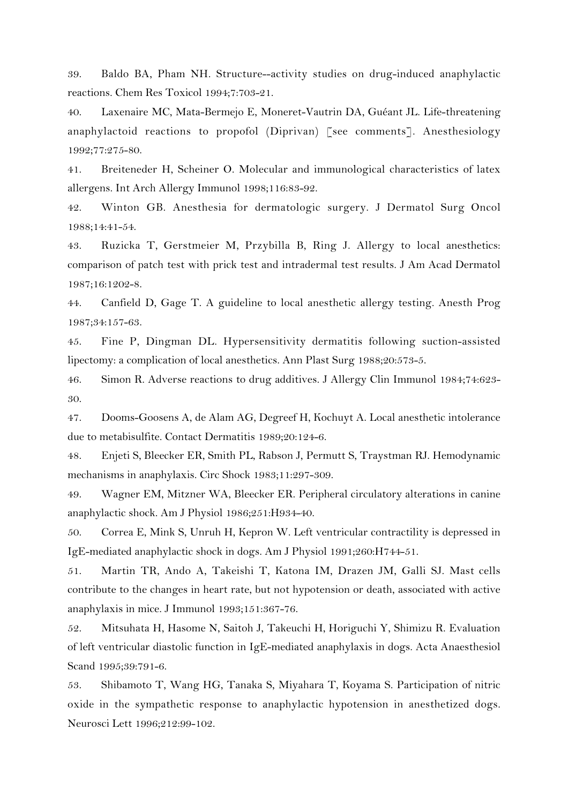39. Baldo BA, Pham NH. Structure--activity studies on drug-induced anaphylactic reactions. Chem Res Toxicol 1994;7:703-21.

40. Laxenaire MC, Mata-Bermejo E, Moneret-Vautrin DA, Guéant JL. Life-threatening anaphylactoid reactions to propofol (Diprivan) [see comments]. Anesthesiology 1992;77:275-80.

41. Breiteneder H, Scheiner O. Molecular and immunological characteristics of latex allergens. Int Arch Allergy Immunol 1998;116:83-92.

42. Winton GB. Anesthesia for dermatologic surgery. J Dermatol Surg Oncol 1988;14:41-54.

43. Ruzicka T, Gerstmeier M, Przybilla B, Ring J. Allergy to local anesthetics: comparison of patch test with prick test and intradermal test results. J Am Acad Dermatol 1987;16:1202-8.

44. Canfield D, Gage T. A guideline to local anesthetic allergy testing. Anesth Prog 1987;34:157-63.

45. Fine P, Dingman DL. Hypersensitivity dermatitis following suction-assisted lipectomy: a complication of local anesthetics. Ann Plast Surg 1988;20:573-5.

46. Simon R. Adverse reactions to drug additives. J Allergy Clin Immunol 1984;74:623- 30.

47. Dooms-Goosens A, de Alam AG, Degreef H, Kochuyt A. Local anesthetic intolerance due to metabisulfite. Contact Dermatitis 1989;20:124-6.

48. Enjeti S, Bleecker ER, Smith PL, Rabson J, Permutt S, Traystman RJ. Hemodynamic mechanisms in anaphylaxis. Circ Shock 1983;11:297-309.

49. Wagner EM, Mitzner WA, Bleecker ER. Peripheral circulatory alterations in canine anaphylactic shock. Am J Physiol 1986;251:H934-40.

50. Correa E, Mink S, Unruh H, Kepron W. Left ventricular contractility is depressed in IgE-mediated anaphylactic shock in dogs. Am J Physiol 1991;260:H744-51.

51. Martin TR, Ando A, Takeishi T, Katona IM, Drazen JM, Galli SJ. Mast cells contribute to the changes in heart rate, but not hypotension or death, associated with active anaphylaxis in mice. J Immunol 1993;151:367-76.

52. Mitsuhata H, Hasome N, Saitoh J, Takeuchi H, Horiguchi Y, Shimizu R. Evaluation of left ventricular diastolic function in IgE-mediated anaphylaxis in dogs. Acta Anaesthesiol Scand 1995;39:791-6.

53. Shibamoto T, Wang HG, Tanaka S, Miyahara T, Koyama S. Participation of nitric oxide in the sympathetic response to anaphylactic hypotension in anesthetized dogs. Neurosci Lett 1996;212:99-102.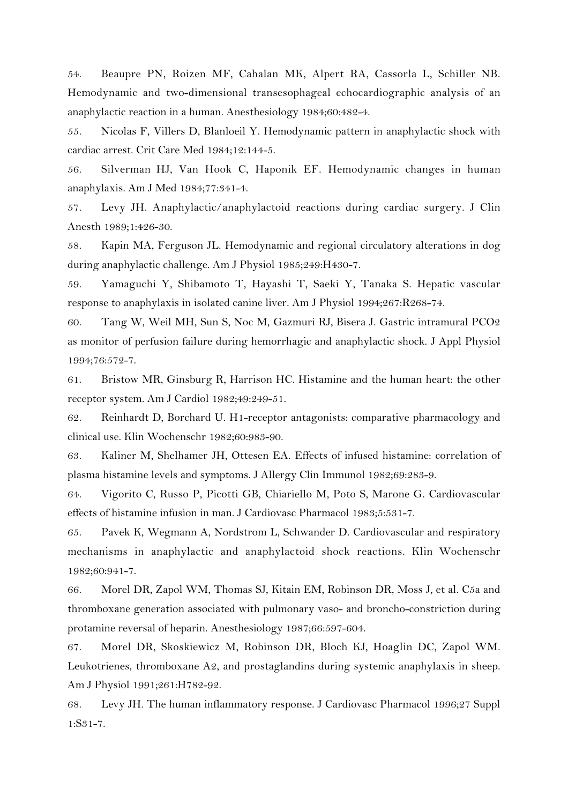54. Beaupre PN, Roizen MF, Cahalan MK, Alpert RA, Cassorla L, Schiller NB. Hemodynamic and two-dimensional transesophageal echocardiographic analysis of an anaphylactic reaction in a human. Anesthesiology 1984;60:482-4.

55. Nicolas F, Villers D, Blanloeil Y. Hemodynamic pattern in anaphylactic shock with cardiac arrest. Crit Care Med 1984;12:144-5.

56. Silverman HJ, Van Hook C, Haponik EF. Hemodynamic changes in human anaphylaxis. Am J Med 1984;77:341-4.

57. Levy JH. Anaphylactic/anaphylactoid reactions during cardiac surgery. J Clin Anesth 1989;1:426-30.

58. Kapin MA, Ferguson JL. Hemodynamic and regional circulatory alterations in dog during anaphylactic challenge. Am J Physiol 1985;249:H430-7.

59. Yamaguchi Y, Shibamoto T, Hayashi T, Saeki Y, Tanaka S. Hepatic vascular response to anaphylaxis in isolated canine liver. Am J Physiol 1994;267:R268-74.

60. Tang W, Weil MH, Sun S, Noc M, Gazmuri RJ, Bisera J. Gastric intramural PCO2 as monitor of perfusion failure during hemorrhagic and anaphylactic shock. J Appl Physiol 1994;76:572-7.

61. Bristow MR, Ginsburg R, Harrison HC. Histamine and the human heart: the other receptor system. Am J Cardiol 1982;49:249-51.

62. Reinhardt D, Borchard U. H1-receptor antagonists: comparative pharmacology and clinical use. Klin Wochenschr 1982;60:983-90.

63. Kaliner M, Shelhamer JH, Ottesen EA. Effects of infused histamine: correlation of plasma histamine levels and symptoms. J Allergy Clin Immunol 1982;69:283-9.

64. Vigorito C, Russo P, Picotti GB, Chiariello M, Poto S, Marone G. Cardiovascular effects of histamine infusion in man. J Cardiovasc Pharmacol 1983;5:531-7.

65. Pavek K, Wegmann A, Nordstrom L, Schwander D. Cardiovascular and respiratory mechanisms in anaphylactic and anaphylactoid shock reactions. Klin Wochenschr 1982;60:941-7.

66. Morel DR, Zapol WM, Thomas SJ, Kitain EM, Robinson DR, Moss J, et al. C5a and thromboxane generation associated with pulmonary vaso- and broncho-constriction during protamine reversal of heparin. Anesthesiology 1987;66:597-604.

67. Morel DR, Skoskiewicz M, Robinson DR, Bloch KJ, Hoaglin DC, Zapol WM. Leukotrienes, thromboxane A2, and prostaglandins during systemic anaphylaxis in sheep. Am J Physiol 1991;261:H782-92.

68. Levy JH. The human inflammatory response. J Cardiovasc Pharmacol 1996;27 Suppl 1:S31-7.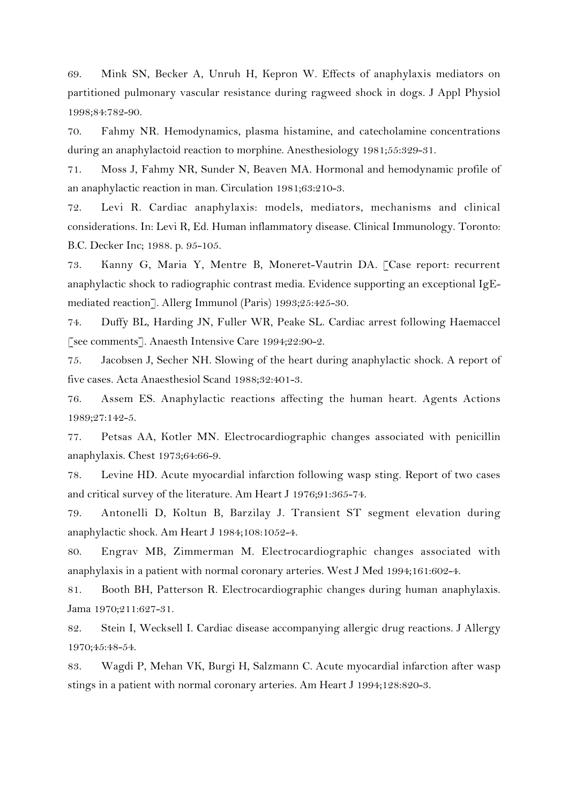69. Mink SN, Becker A, Unruh H, Kepron W. Effects of anaphylaxis mediators on partitioned pulmonary vascular resistance during ragweed shock in dogs. J Appl Physiol 1998;84:782-90.

70. Fahmy NR. Hemodynamics, plasma histamine, and catecholamine concentrations during an anaphylactoid reaction to morphine. Anesthesiology 1981;55:329-31.

71. Moss J, Fahmy NR, Sunder N, Beaven MA. Hormonal and hemodynamic profile of an anaphylactic reaction in man. Circulation 1981;63:210-3.

72. Levi R. Cardiac anaphylaxis: models, mediators, mechanisms and clinical considerations. In: Levi R, Ed. Human inflammatory disease. Clinical Immunology. Toronto: B.C. Decker Inc; 1988. p. 95-105.

73. Kanny G, Maria Y, Mentre B, Moneret-Vautrin DA. [Case report: recurrent anaphylactic shock to radiographic contrast media. Evidence supporting an exceptional IgEmediated reaction]. Allerg Immunol (Paris) 1993;25:425-30.

74. Duffy BL, Harding JN, Fuller WR, Peake SL. Cardiac arrest following Haemaccel [see comments]. Anaesth Intensive Care 1994;22:90-2.

75. Jacobsen J, Secher NH. Slowing of the heart during anaphylactic shock. A report of five cases. Acta Anaesthesiol Scand 1988;32:401-3.

76. Assem ES. Anaphylactic reactions affecting the human heart. Agents Actions 1989;27:142-5.

77. Petsas AA, Kotler MN. Electrocardiographic changes associated with penicillin anaphylaxis. Chest 1973;64:66-9.

78. Levine HD. Acute myocardial infarction following wasp sting. Report of two cases and critical survey of the literature. Am Heart J 1976;91:365-74.

79. Antonelli D, Koltun B, Barzilay J. Transient ST segment elevation during anaphylactic shock. Am Heart J 1984;108:1052-4.

80. Engrav MB, Zimmerman M. Electrocardiographic changes associated with anaphylaxis in a patient with normal coronary arteries. West J Med 1994;161:602-4.

81. Booth BH, Patterson R. Electrocardiographic changes during human anaphylaxis. Jama 1970;211:627-31.

82. Stein I, Wecksell I. Cardiac disease accompanying allergic drug reactions. J Allergy 1970;45:48-54.

83. Wagdi P, Mehan VK, Burgi H, Salzmann C. Acute myocardial infarction after wasp stings in a patient with normal coronary arteries. Am Heart J 1994;128:820-3.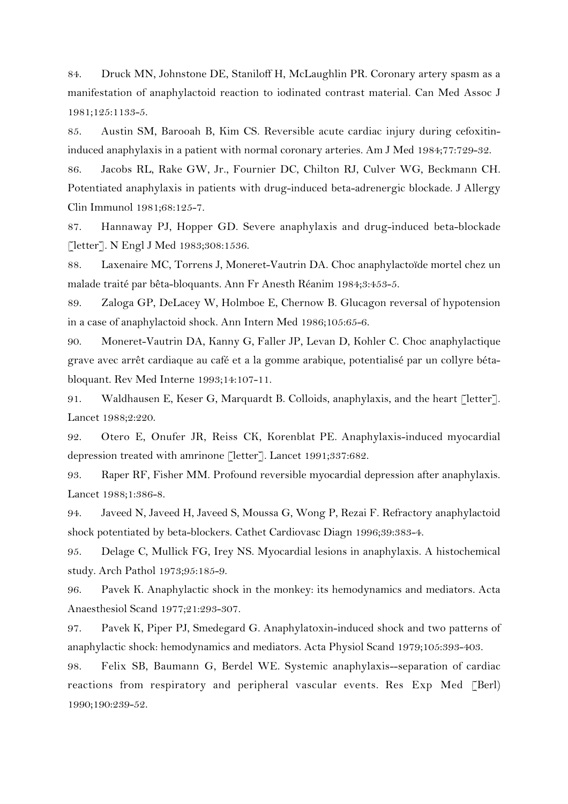84. Druck MN, Johnstone DE, Staniloff H, McLaughlin PR. Coronary artery spasm as a manifestation of anaphylactoid reaction to iodinated contrast material. Can Med Assoc J 1981;125:1133-5.

85. Austin SM, Barooah B, Kim CS. Reversible acute cardiac injury during cefoxitininduced anaphylaxis in a patient with normal coronary arteries. Am J Med 1984;77:729-32.

86. Jacobs RL, Rake GW, Jr., Fournier DC, Chilton RJ, Culver WG, Beckmann CH. Potentiated anaphylaxis in patients with drug-induced beta-adrenergic blockade. J Allergy Clin Immunol 1981;68:125-7.

87. Hannaway PJ, Hopper GD. Severe anaphylaxis and drug-induced beta-blockade [letter]. N Engl J Med 1983;308:1536.

88. Laxenaire MC, Torrens J, Moneret-Vautrin DA. Choc anaphylactoïde mortel chez un malade traité par bêta-bloquants. Ann Fr Anesth Réanim 1984;3:453-5.

89. Zaloga GP, DeLacey W, Holmboe E, Chernow B. Glucagon reversal of hypotension in a case of anaphylactoid shock. Ann Intern Med 1986;105:65-6.

90. Moneret-Vautrin DA, Kanny G, Faller JP, Levan D, Kohler C. Choc anaphylactique grave avec arrêt cardiaque au café et a la gomme arabique, potentialisé par un collyre bétabloquant. Rev Med Interne 1993;14:107-11.

91. Waldhausen E, Keser G, Marquardt B. Colloids, anaphylaxis, and the heart [letter]. Lancet 1988;2:220.

92. Otero E, Onufer JR, Reiss CK, Korenblat PE. Anaphylaxis-induced myocardial depression treated with amrinone [letter]. Lancet 1991;337:682.

93. Raper RF, Fisher MM. Profound reversible myocardial depression after anaphylaxis. Lancet 1988;1:386-8.

94. Javeed N, Javeed H, Javeed S, Moussa G, Wong P, Rezai F. Refractory anaphylactoid shock potentiated by beta-blockers. Cathet Cardiovasc Diagn 1996;39:383-4.

95. Delage C, Mullick FG, Irey NS. Myocardial lesions in anaphylaxis. A histochemical study. Arch Pathol 1973;95:185-9.

96. Pavek K. Anaphylactic shock in the monkey: its hemodynamics and mediators. Acta Anaesthesiol Scand 1977;21:293-307.

97. Pavek K, Piper PJ, Smedegard G. Anaphylatoxin-induced shock and two patterns of anaphylactic shock: hemodynamics and mediators. Acta Physiol Scand 1979;105:393-403.

98. Felix SB, Baumann G, Berdel WE. Systemic anaphylaxis--separation of cardiac reactions from respiratory and peripheral vascular events. Res Exp Med [Berl] 1990;190:239-52.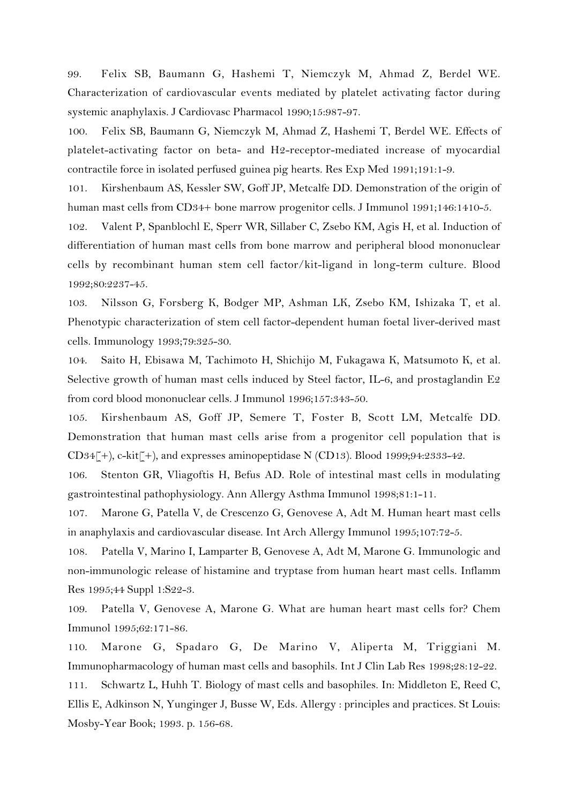99. Felix SB, Baumann G, Hashemi T, Niemczyk M, Ahmad Z, Berdel WE. Characterization of cardiovascular events mediated by platelet activating factor during systemic anaphylaxis. J Cardiovasc Pharmacol 1990;15:987-97.

100. Felix SB, Baumann G, Niemczyk M, Ahmad Z, Hashemi T, Berdel WE. Effects of platelet-activating factor on beta- and H2-receptor-mediated increase of myocardial contractile force in isolated perfused guinea pig hearts. Res Exp Med 1991;191:1-9.

101. Kirshenbaum AS, Kessler SW, Goff JP, Metcalfe DD. Demonstration of the origin of human mast cells from CD34+ bone marrow progenitor cells. J Immunol 1991;146:1410-5.

102. Valent P, Spanblochl E, Sperr WR, Sillaber C, Zsebo KM, Agis H, et al. Induction of differentiation of human mast cells from bone marrow and peripheral blood mononuclear cells by recombinant human stem cell factor/kit-ligand in long-term culture. Blood 1992;80:2237-45.

103. Nilsson G, Forsberg K, Bodger MP, Ashman LK, Zsebo KM, Ishizaka T, et al. Phenotypic characterization of stem cell factor-dependent human foetal liver-derived mast cells. Immunology 1993;79:325-30.

104. Saito H, Ebisawa M, Tachimoto H, Shichijo M, Fukagawa K, Matsumoto K, et al. Selective growth of human mast cells induced by Steel factor, IL-6, and prostaglandin E2 from cord blood mononuclear cells. J Immunol 1996;157:343-50.

105. Kirshenbaum AS, Goff JP, Semere T, Foster B, Scott LM, Metcalfe DD. Demonstration that human mast cells arise from a progenitor cell population that is CD34 $\lceil + \rangle$ , c-kit $\lceil + \rangle$ , and expresses aminopeptidase N (CD13). Blood 1999;94:2333-42.

106. Stenton GR, Vliagoftis H, Befus AD. Role of intestinal mast cells in modulating gastrointestinal pathophysiology. Ann Allergy Asthma Immunol 1998;81:1-11.

107. Marone G, Patella V, de Crescenzo G, Genovese A, Adt M. Human heart mast cells in anaphylaxis and cardiovascular disease. Int Arch Allergy Immunol 1995;107:72-5.

108. Patella V, Marino I, Lamparter B, Genovese A, Adt M, Marone G. Immunologic and non-immunologic release of histamine and tryptase from human heart mast cells. Inflamm Res 1995;44 Suppl 1:S22-3.

109. Patella V, Genovese A, Marone G. What are human heart mast cells for? Chem Immunol 1995;62:171-86.

110. Marone G, Spadaro G, De Marino V, Aliperta M, Triggiani M. Immunopharmacology of human mast cells and basophils. Int J Clin Lab Res 1998;28:12-22.

111. Schwartz L, Huhh T. Biology of mast cells and basophiles. In: Middleton E, Reed C, Ellis E, Adkinson N, Yunginger J, Busse W, Eds. Allergy : principles and practices. St Louis: Mosby-Year Book; 1993. p. 156-68.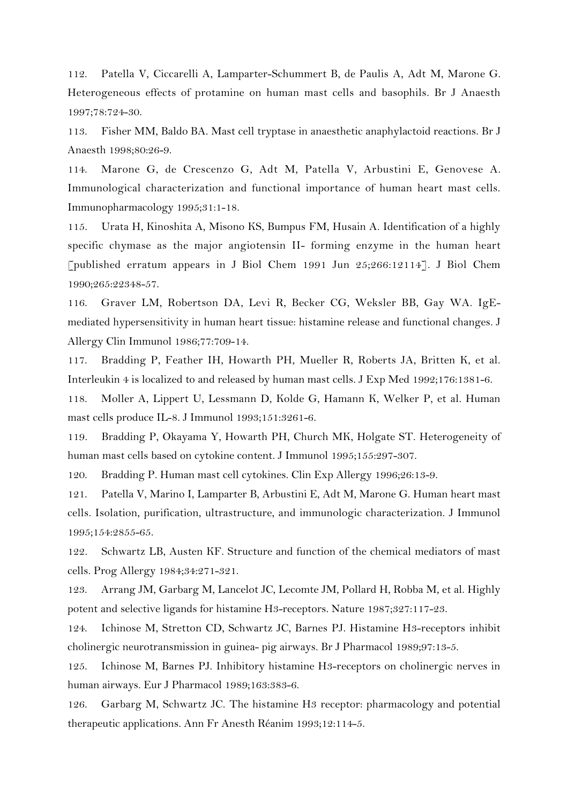112. Patella V, Ciccarelli A, Lamparter-Schummert B, de Paulis A, Adt M, Marone G. Heterogeneous effects of protamine on human mast cells and basophils. Br J Anaesth 1997;78:724-30.

113. Fisher MM, Baldo BA. Mast cell tryptase in anaesthetic anaphylactoid reactions. Br J Anaesth 1998;80:26-9.

114. Marone G, de Crescenzo G, Adt M, Patella V, Arbustini E, Genovese A. Immunological characterization and functional importance of human heart mast cells. Immunopharmacology 1995;31:1-18.

115. Urata H, Kinoshita A, Misono KS, Bumpus FM, Husain A. Identification of a highly specific chymase as the major angiotensin II- forming enzyme in the human heart [published erratum appears in J Biol Chem 1991 Jun 25;266:12114]. J Biol Chem 1990;265:22348-57.

116. Graver LM, Robertson DA, Levi R, Becker CG, Weksler BB, Gay WA. IgEmediated hypersensitivity in human heart tissue: histamine release and functional changes. J Allergy Clin Immunol 1986;77:709-14.

117. Bradding P, Feather IH, Howarth PH, Mueller R, Roberts JA, Britten K, et al. Interleukin 4 is localized to and released by human mast cells. J Exp Med 1992;176:1381-6.

118. Moller A, Lippert U, Lessmann D, Kolde G, Hamann K, Welker P, et al. Human mast cells produce IL-8. J Immunol 1993;151:3261-6.

119. Bradding P, Okayama Y, Howarth PH, Church MK, Holgate ST. Heterogeneity of human mast cells based on cytokine content. J Immunol 1995;155:297-307.

120. Bradding P. Human mast cell cytokines. Clin Exp Allergy 1996;26:13-9.

121. Patella V, Marino I, Lamparter B, Arbustini E, Adt M, Marone G. Human heart mast cells. Isolation, purification, ultrastructure, and immunologic characterization. J Immunol 1995;154:2855-65.

122. Schwartz LB, Austen KF. Structure and function of the chemical mediators of mast cells. Prog Allergy 1984;34:271-321.

123. Arrang JM, Garbarg M, Lancelot JC, Lecomte JM, Pollard H, Robba M, et al. Highly potent and selective ligands for histamine H3-receptors. Nature 1987;327:117-23.

124. Ichinose M, Stretton CD, Schwartz JC, Barnes PJ. Histamine H3-receptors inhibit cholinergic neurotransmission in guinea- pig airways. Br J Pharmacol 1989;97:13-5.

125. Ichinose M, Barnes PJ. Inhibitory histamine H3-receptors on cholinergic nerves in human airways. Eur J Pharmacol 1989;163:383-6.

126. Garbarg M, Schwartz JC. The histamine H3 receptor: pharmacology and potential therapeutic applications. Ann Fr Anesth Réanim 1993;12:114-5.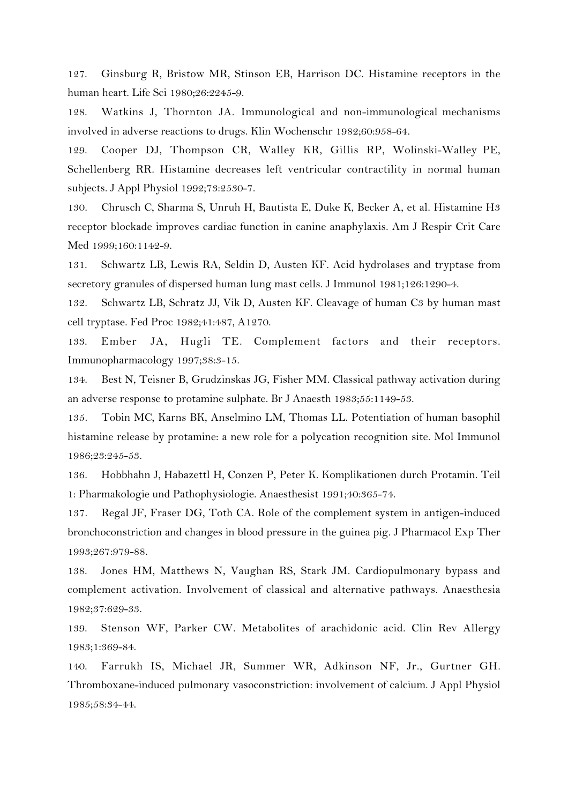127. Ginsburg R, Bristow MR, Stinson EB, Harrison DC. Histamine receptors in the human heart. Life Sci 1980;26:2245-9.

128. Watkins J, Thornton JA. Immunological and non-immunological mechanisms involved in adverse reactions to drugs. Klin Wochenschr 1982;60:958-64.

129. Cooper DJ, Thompson CR, Walley KR, Gillis RP, Wolinski-Walley PE, Schellenberg RR. Histamine decreases left ventricular contractility in normal human subjects. J Appl Physiol 1992;73:2530-7.

130. Chrusch C, Sharma S, Unruh H, Bautista E, Duke K, Becker A, et al. Histamine H3 receptor blockade improves cardiac function in canine anaphylaxis. Am J Respir Crit Care Med 1999;160:1142-9.

131. Schwartz LB, Lewis RA, Seldin D, Austen KF. Acid hydrolases and tryptase from secretory granules of dispersed human lung mast cells. J Immunol 1981;126:1290-4.

132. Schwartz LB, Schratz JJ, Vik D, Austen KF. Cleavage of human C3 by human mast cell tryptase. Fed Proc 1982;41:487, A1270.

133. Ember JA, Hugli TE. Complement factors and their receptors. Immunopharmacology 1997;38:3-15.

134. Best N, Teisner B, Grudzinskas JG, Fisher MM. Classical pathway activation during an adverse response to protamine sulphate. Br J Anaesth 1983;55:1149-53.

135. Tobin MC, Karns BK, Anselmino LM, Thomas LL. Potentiation of human basophil histamine release by protamine: a new role for a polycation recognition site. Mol Immunol 1986;23:245-53.

136. Hobbhahn J, Habazettl H, Conzen P, Peter K. Komplikationen durch Protamin. Teil 1: Pharmakologie und Pathophysiologie. Anaesthesist 1991;40:365-74.

137. Regal JF, Fraser DG, Toth CA. Role of the complement system in antigen-induced bronchoconstriction and changes in blood pressure in the guinea pig. J Pharmacol Exp Ther 1993;267:979-88.

138. Jones HM, Matthews N, Vaughan RS, Stark JM. Cardiopulmonary bypass and complement activation. Involvement of classical and alternative pathways. Anaesthesia 1982;37:629-33.

139. Stenson WF, Parker CW. Metabolites of arachidonic acid. Clin Rev Allergy 1983;1:369-84.

140. Farrukh IS, Michael JR, Summer WR, Adkinson NF, Jr., Gurtner GH. Thromboxane-induced pulmonary vasoconstriction: involvement of calcium. J Appl Physiol 1985;58:34-44.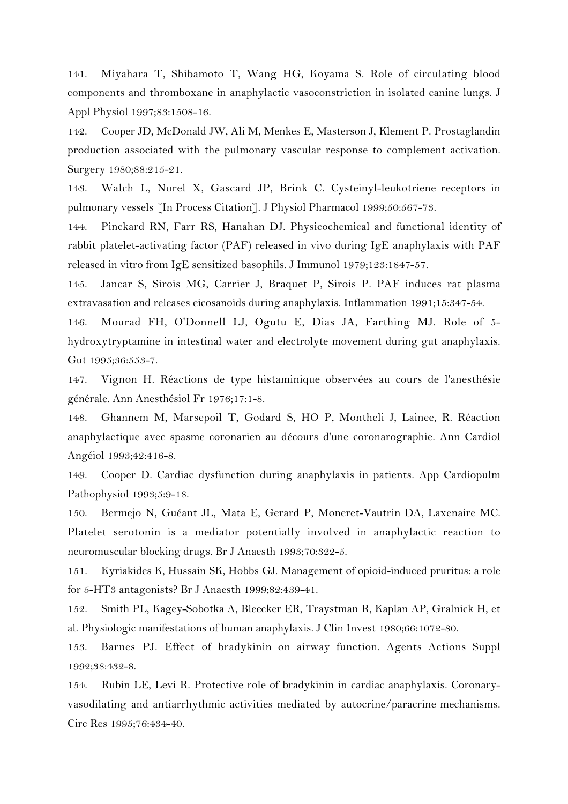141. Miyahara T, Shibamoto T, Wang HG, Koyama S. Role of circulating blood components and thromboxane in anaphylactic vasoconstriction in isolated canine lungs. J Appl Physiol 1997;83:1508-16.

142. Cooper JD, McDonald JW, Ali M, Menkes E, Masterson J, Klement P. Prostaglandin production associated with the pulmonary vascular response to complement activation. Surgery 1980;88:215-21.

143. Walch L, Norel X, Gascard JP, Brink C. Cysteinyl-leukotriene receptors in pulmonary vessels [In Process Citation]. J Physiol Pharmacol 1999;50:567-73.

144. Pinckard RN, Farr RS, Hanahan DJ. Physicochemical and functional identity of rabbit platelet-activating factor (PAF) released in vivo during IgE anaphylaxis with PAF released in vitro from IgE sensitized basophils. J Immunol 1979;123:1847-57.

145. Jancar S, Sirois MG, Carrier J, Braquet P, Sirois P. PAF induces rat plasma extravasation and releases eicosanoids during anaphylaxis. Inflammation 1991;15:347-54.

146. Mourad FH, O'Donnell LJ, Ogutu E, Dias JA, Farthing MJ. Role of 5 hydroxytryptamine in intestinal water and electrolyte movement during gut anaphylaxis. Gut 1995;36:553-7.

147. Vignon H. Réactions de type histaminique observées au cours de l'anesthésie générale. Ann Anesthésiol Fr 1976;17:1-8.

148. Ghannem M, Marsepoil T, Godard S, HO P, Montheli J, Lainee, R. Réaction anaphylactique avec spasme coronarien au décours d'une coronarographie. Ann Cardiol Angéiol 1993;42:416-8.

149. Cooper D. Cardiac dysfunction during anaphylaxis in patients. App Cardiopulm Pathophysiol 1993;5:9-18.

150. Bermejo N, Guéant JL, Mata E, Gerard P, Moneret-Vautrin DA, Laxenaire MC. Platelet serotonin is a mediator potentially involved in anaphylactic reaction to neuromuscular blocking drugs. Br J Anaesth 1993;70:322-5.

151. Kyriakides K, Hussain SK, Hobbs GJ. Management of opioid-induced pruritus: a role for 5-HT3 antagonists? Br J Anaesth 1999;82:439-41.

152. Smith PL, Kagey-Sobotka A, Bleecker ER, Traystman R, Kaplan AP, Gralnick H, et al. Physiologic manifestations of human anaphylaxis. J Clin Invest 1980;66:1072-80.

153. Barnes PJ. Effect of bradykinin on airway function. Agents Actions Suppl 1992;38:432-8.

154. Rubin LE, Levi R. Protective role of bradykinin in cardiac anaphylaxis. Coronaryvasodilating and antiarrhythmic activities mediated by autocrine/paracrine mechanisms. Circ Res 1995;76:434-40.